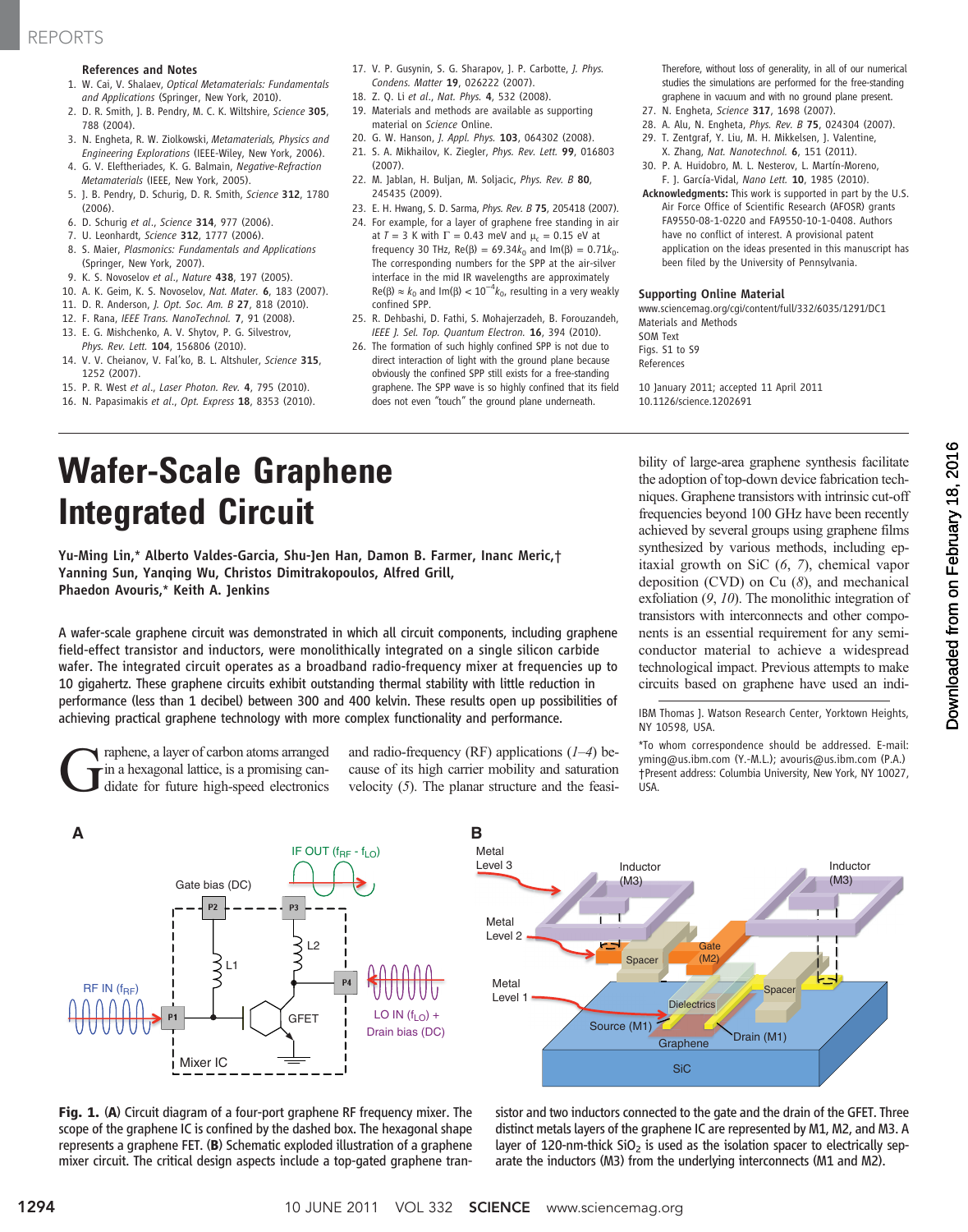# REPORTS

## References and Notes

- 1. W. Cai, V. Shalaev, Optical Metamaterials: Fundamentals and Applications (Springer, New York, 2010).
- 2. D. R. Smith, J. B. Pendry, M. C. K. Wiltshire, Science 305, 788 (2004).
- 3. N. Engheta, R. W. Ziolkowski, Metamaterials, Physics and Engineering Explorations (IEEE-Wiley, New York, 2006).
- 4. G. V. Eleftheriades, K. G. Balmain, Negative-Refraction Metamaterials (IEEE, New York, 2005).
- 5. J. B. Pendry, D. Schurig, D. R. Smith, Science 312, 1780 (2006).
- 6. D. Schurig et al., Science 314, 977 (2006).
- 7. U. Leonhardt, Science 312, 1777 (2006).
- 8. S. Maier, Plasmonics: Fundamentals and Applications (Springer, New York, 2007).
- 9. K. S. Novoselov et al., Nature 438, 197 (2005).
- 10. A. K. Geim, K. S. Novoselov, Nat. Mater. 6, 183 (2007).
- 11. D. R. Anderson, J. Opt. Soc. Am. B 27, 818 (2010).
- 12. F. Rana, IEEE Trans. NanoTechnol. 7, 91 (2008).
- 13. E. G. Mishchenko, A. V. Shytov, P. G. Silvestrov, Phys. Rev. Lett. 104, 156806 (2010).
- 14. V. V. Cheianov, V. Fal'ko, B. L. Altshuler, Science 315, 1252 (2007).
- 15. P. R. West et al., Laser Photon. Rev. 4, 795 (2010).
- 16. N. Papasimakis et al., Opt. Express 18, 8353 (2010).
- 17. V. P. Gusynin, S. G. Sharapov, J. P. Carbotte, J. Phys. Condens. Matter 19, 026222 (2007).
- 18. Z. Q. Li et al., Nat. Phys. 4, 532 (2008). 19. Materials and methods are available as supporting material on Science Online.
- 20. G. W. Hanson, J. Appl. Phys. 103, 064302 (2008).
- 21. S. A. Mikhailov, K. Ziegler, Phys. Rev. Lett. 99, 016803 (2007).
- 22. M. Jablan, H. Buljan, M. Soljacic, Phys. Rev. B 80, 245435 (2009).
- 23. E. H. Hwang, S. D. Sarma, *Phys. Rev. B* 75, 205418 (2007).
- 24. For example, for a layer of graphene free standing in air at  $T = 3$  K with  $\Gamma = 0.43$  meV and  $\mu_c = 0.15$  eV at frequency 30 THz,  $Re(\beta) = 69.34k_0$  and  $Im(\beta) = 0.71k_0$ . The corresponding numbers for the SPP at the air-silver interface in the mid IR wavelengths are approximately Re( $\beta$ ) ≈  $k_0$  and Im( $\beta$ ) < 10<sup>-4</sup> $k_0$ , resulting in a very weakly confined SPP.
- 25. R. Dehbashi, D. Fathi, S. Mohajerzadeh, B. Forouzandeh, IEEE J. Sel. Top. Quantum Electron. 16, 394 (2010).
- 26. The formation of such highly confined SPP is not due to direct interaction of light with the ground plane because obviously the confined SPP still exists for a free-standing graphene. The SPP wave is so highly confined that its field does not even "touch" the ground plane underneath.

Therefore, without loss of generality, in all of our numerical studies the simulations are performed for the free-standing graphene in vacuum and with no ground plane present.

- 27. N. Engheta, Science 317, 1698 (2007).
- 28. A. Alu, N. Engheta, Phys. Rev. B 75, 024304 (2007).
- 29. T. Zentgraf, Y. Liu, M. H. Mikkelsen, J. Valentine, X. Zhang, Nat. Nanotechnol. 6, 151 (2011).
- 30. P. A. Huidobro, M. L. Nesterov, L. Martín-Moreno, F. J. García-Vidal, Nano Lett. 10, 1985 (2010).
- Acknowledgments: This work is supported in part by the U.S. Air Force Office of Scientific Research (AFOSR) grants FA9550-08-1-0220 and FA9550-10-1-0408. Authors have no conflict of interest. A provisional patent application on the ideas presented in this manuscript has been filed by the University of Pennsylvania.

#### Supporting Online Material

www.sciencemag.org/cgi/content/full/332/6035/1291/DC1 Materials and Methods

SOM Text Figs. S1 to S9 References

10 January 2011; accepted 11 April 2011 10.1126/science.1202691

# Wafer-Scale Graphene Integrated Circuit

Yu-Ming Lin,\* Alberto Valdes-Garcia, Shu-Jen Han, Damon B. Farmer, Inanc Meric,† Yanning Sun, Yanqing Wu, Christos Dimitrakopoulos, Alfred Grill, Phaedon Avouris,\* Keith A. Jenkins

A wafer-scale graphene circuit was demonstrated in which all circuit components, including graphene field-effect transistor and inductors, were monolithically integrated on a single silicon carbide wafer. The integrated circuit operates as a broadband radio-frequency mixer at frequencies up to 10 gigahertz. These graphene circuits exhibit outstanding thermal stability with little reduction in performance (less than 1 decibel) between 300 and 400 kelvin. These results open up possibilities of achieving practical graphene technology with more complex functionality and performance.

Graphene, a layer of carbon atoms arranged didate for future high-speed electronics in a hexagonal lattice, is a promising canand radio-frequency (RF) applications  $(1-4)$  because of its high carrier mobility and saturation velocity (5). The planar structure and the feasibility of large-area graphene synthesis facilitate the adoption of top-down device fabrication techniques. Graphene transistors with intrinsic cut-off frequencies beyond 100 GHz have been recently achieved by several groups using graphene films synthesized by various methods, including epitaxial growth on SiC (6, 7), chemical vapor deposition (CVD) on Cu  $(8)$ , and mechanical exfoliation  $(9, 10)$ . The monolithic integration of transistors with interconnects and other components is an essential requirement for any semiconductor material to achieve a widespread technological impact. Previous attempts to make circuits based on graphene have used an indiOownloaded from on February 18, 2016 on February 18, 2016 Downloaded from

IBM Thomas J. Watson Research Center, Yorktown Heights, NY 10598, USA.

\*To whom correspondence should be addressed. E-mail: yming@us.ibm.com (Y.-M.L.); avouris@us.ibm.com (P.A.) †Present address: Columbia University, New York, NY 10027, USA.



Fig. 1. (A) Circuit diagram of a four-port graphene RF frequency mixer. The scope of the graphene IC is confined by the dashed box. The hexagonal shape represents a graphene FET. (B) Schematic exploded illustration of a graphene mixer circuit. The critical design aspects include a top-gated graphene tran-



sistor and two inductors connected to the gate and the drain of the GFET. Three distinct metals layers of the graphene IC are represented by M1, M2, and M3. A layer of 120-nm-thick  $SiO<sub>2</sub>$  is used as the isolation spacer to electrically separate the inductors (M3) from the underlying interconnects (M1 and M2).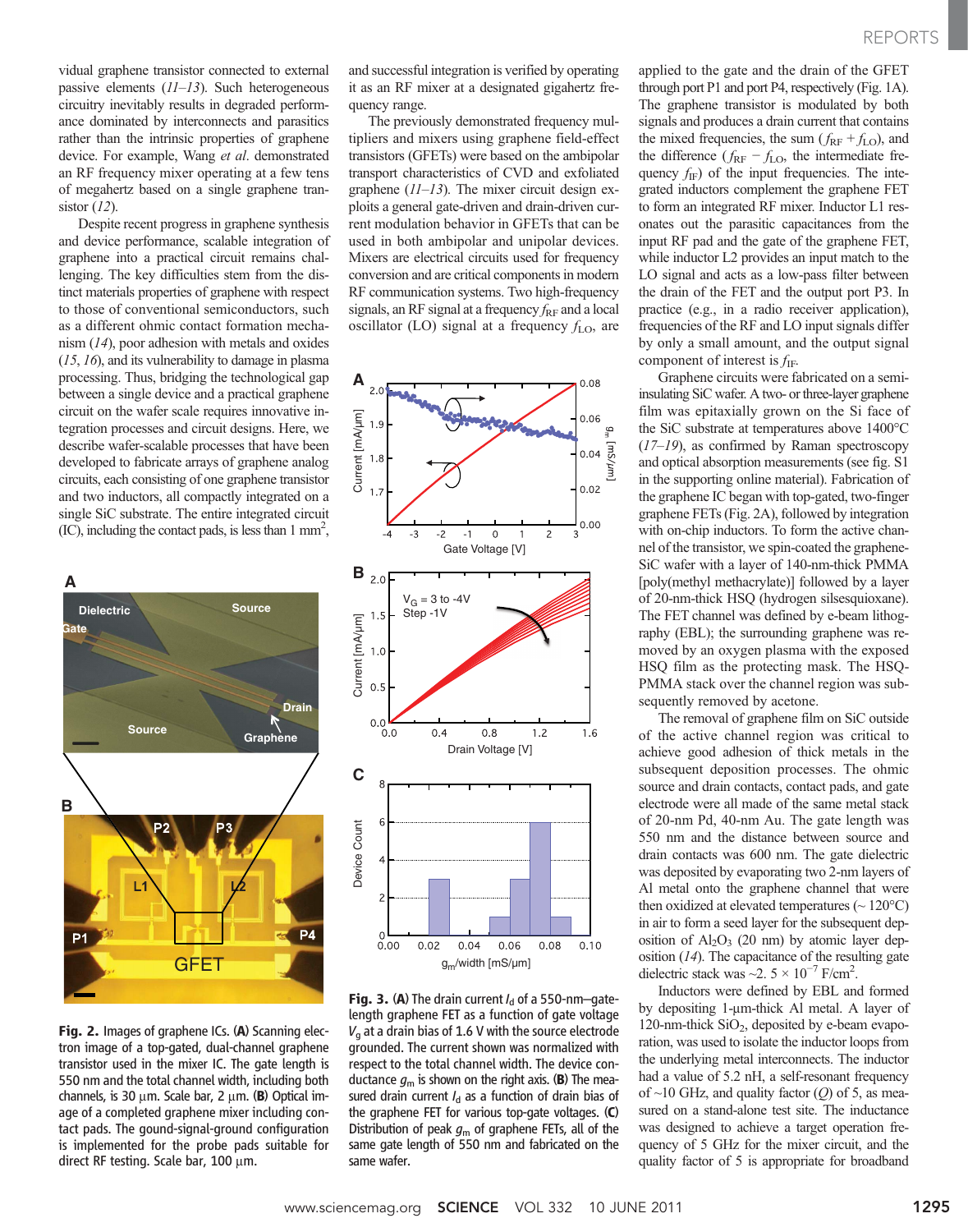vidual graphene transistor connected to external passive elements  $(11-13)$ . Such heterogeneous circuitry inevitably results in degraded performance dominated by interconnects and parasitics rather than the intrinsic properties of graphene device. For example, Wang et al. demonstrated an RF frequency mixer operating at a few tens of megahertz based on a single graphene transistor  $(12)$ .

Despite recent progress in graphene synthesis and device performance, scalable integration of graphene into a practical circuit remains challenging. The key difficulties stem from the distinct materials properties of graphene with respect to those of conventional semiconductors, such as a different ohmic contact formation mechanism (14), poor adhesion with metals and oxides (15, 16), and its vulnerability to damage in plasma processing. Thus, bridging the technological gap between a single device and a practical graphene circuit on the wafer scale requires innovative integration processes and circuit designs. Here, we describe wafer-scalable processes that have been developed to fabricate arrays of graphene analog circuits, each consisting of one graphene transistor and two inductors, all compactly integrated on a single SiC substrate. The entire integrated circuit  $(IC)$ , including the contact pads, is less than 1 mm<sup>2</sup>,



Fig. 2. Images of graphene ICs. (A) Scanning electron image of a top-gated, dual-channel graphene transistor used in the mixer IC. The gate length is 550 nm and the total channel width, including both channels, is 30  $\mu$ m. Scale bar, 2  $\mu$ m. (B) Optical image of a completed graphene mixer including contact pads. The gound-signal-ground configuration is implemented for the probe pads suitable for direct RF testing. Scale bar,  $100 \mu m$ .

and successful integration is verified by operating it as an RF mixer at a designated gigahertz frequency range.

The previously demonstrated frequency multipliers and mixers using graphene field-effect transistors (GFETs) were based on the ambipolar transport characteristics of CVD and exfoliated graphene  $(11-13)$ . The mixer circuit design exploits a general gate-driven and drain-driven current modulation behavior in GFETs that can be used in both ambipolar and unipolar devices. Mixers are electrical circuits used for frequency conversion and are critical components in modern RF communication systems. Two high-frequency signals, an RF signal at a frequency  $f_{\rm RF}$  and a local oscillator (LO) signal at a frequency  $f_{\text{LO}}$ , are



Fig. 3. (A) The drain current  $I_d$  of a 550-nm-gatelength graphene FET as a function of gate voltage  $V<sub>a</sub>$  at a drain bias of 1.6 V with the source electrode grounded. The current shown was normalized with respect to the total channel width. The device conductance  $g_m$  is shown on the right axis. (B) The measured drain current  $I_d$  as a function of drain bias of the graphene FET for various top-gate voltages. (C) Distribution of peak  $g<sub>m</sub>$  of graphene FETs, all of the same gate length of 550 nm and fabricated on the same wafer.

applied to the gate and the drain of the GFET through port P1 and port P4, respectively (Fig. 1A). The graphene transistor is modulated by both signals and produces a drain current that contains the mixed frequencies, the sum ( $f_{\text{RF}} + f_{\text{LO}}$ ), and the difference ( $f_{\text{RF}} - f_{\text{LO}}$ , the intermediate frequency  $f_{\text{IF}}$ ) of the input frequencies. The integrated inductors complement the graphene FET to form an integrated RF mixer. Inductor L1 resonates out the parasitic capacitances from the input RF pad and the gate of the graphene FET, while inductor L2 provides an input match to the LO signal and acts as a low-pass filter between the drain of the FET and the output port P3. In practice (e.g., in a radio receiver application), frequencies of the RF and LO input signals differ by only a small amount, and the output signal component of interest is  $f_{IF}$ .

Graphene circuits were fabricated on a semiinsulating SiC wafer. A two- or three-layer graphene film was epitaxially grown on the Si face of the SiC substrate at temperatures above 1400°C  $(17–19)$ , as confirmed by Raman spectroscopy and optical absorption measurements (see fig. S1 in the supporting online material). Fabrication of the graphene IC began with top-gated, two-finger graphene FETs (Fig. 2A), followed by integration with on-chip inductors. To form the active channel of the transistor, we spin-coated the graphene-SiC wafer with a layer of 140-nm-thick PMMA [poly(methyl methacrylate)] followed by a layer of 20-nm-thick HSQ (hydrogen silsesquioxane). The FET channel was defined by e-beam lithography (EBL); the surrounding graphene was removed by an oxygen plasma with the exposed HSQ film as the protecting mask. The HSQ-PMMA stack over the channel region was subsequently removed by acetone.

The removal of graphene film on SiC outside of the active channel region was critical to achieve good adhesion of thick metals in the subsequent deposition processes. The ohmic source and drain contacts, contact pads, and gate electrode were all made of the same metal stack of 20-nm Pd, 40-nm Au. The gate length was 550 nm and the distance between source and drain contacts was 600 nm. The gate dielectric was deposited by evaporating two 2-nm layers of Al metal onto the graphene channel that were then oxidized at elevated temperatures  $({\sim} 120^{\circ}C)$ in air to form a seed layer for the subsequent deposition of  $Al_2O_3$  (20 nm) by atomic layer deposition  $(14)$ . The capacitance of the resulting gate dielectric stack was ~2.  $5 \times 10^{-7}$  F/cm<sup>2</sup>.

Inductors were defined by EBL and formed by depositing 1-µm-thick Al metal. A layer of 120-nm-thick  $SiO<sub>2</sub>$ , deposited by e-beam evaporation, was used to isolate the inductor loops from the underlying metal interconnects. The inductor had a value of 5.2 nH, a self-resonant frequency of  $\sim$ 10 GHz, and quality factor (Q) of 5, as measured on a stand-alone test site. The inductance was designed to achieve a target operation frequency of 5 GHz for the mixer circuit, and the quality factor of 5 is appropriate for broadband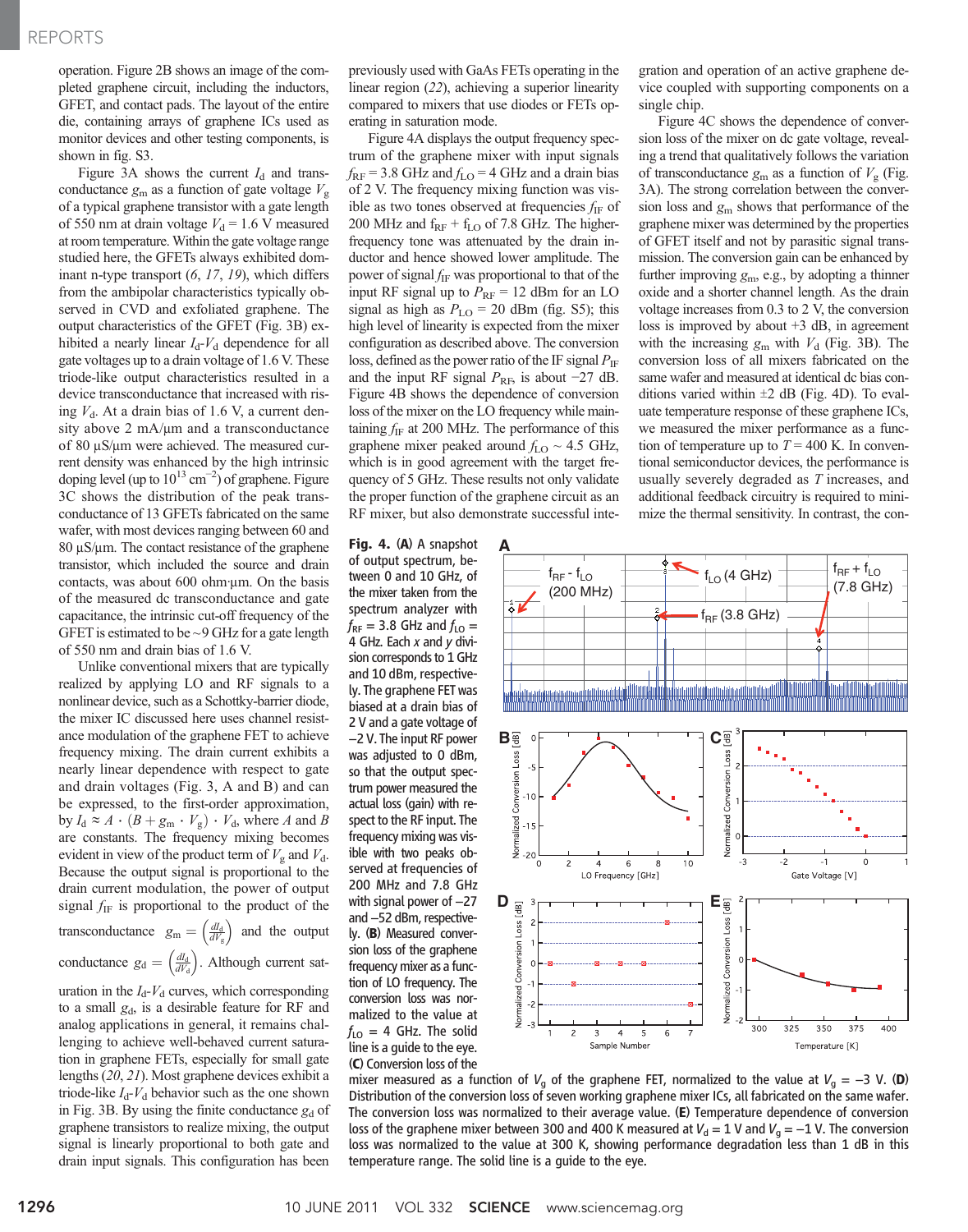operation. Figure 2B shows an image of the completed graphene circuit, including the inductors, GFET, and contact pads. The layout of the entire die, containing arrays of graphene ICs used as monitor devices and other testing components, is shown in fig. S3.

Figure 3A shows the current  $I_d$  and transconductance  $g_m$  as a function of gate voltage  $V_g$ of a typical graphene transistor with a gate length of 550 nm at drain voltage  $V_d = 1.6$  V measured at room temperature.Within the gate voltage range studied here, the GFETs always exhibited dominant n-type transport (6, 17, 19), which differs from the ambipolar characteristics typically observed in CVD and exfoliated graphene. The output characteristics of the GFET (Fig. 3B) exhibited a nearly linear  $I_d$ - $V_d$  dependence for all gate voltages up to a drain voltage of 1.6 V. These triode-like output characteristics resulted in a device transconductance that increased with rising  $V<sub>d</sub>$ . At a drain bias of 1.6 V, a current density above  $2 \text{ mA}/\mu\text{m}$  and a transconductance of 80  $\mu$ S/ $\mu$ m were achieved. The measured current density was enhanced by the high intrinsic doping level (up to  $10^{13}$  cm<sup>-2</sup>) of graphene. Figure 3C shows the distribution of the peak transconductance of 13 GFETs fabricated on the same wafer, with most devices ranging between 60 and  $80 \mu\text{S}/\mu\text{m}$ . The contact resistance of the graphene transistor, which included the source and drain contacts, was about  $600$  ohm  $\mu$ m. On the basis of the measured dc transconductance and gate capacitance, the intrinsic cut-off frequency of the GFET is estimated to be  $\sim$ 9 GHz for a gate length of 550 nm and drain bias of 1.6 V.

Unlike conventional mixers that are typically realized by applying LO and RF signals to a nonlinear device, such as a Schottky-barrier diode, the mixer IC discussed here uses channel resistance modulation of the graphene FET to achieve frequency mixing. The drain current exhibits a nearly linear dependence with respect to gate and drain voltages (Fig. 3, A and B) and can be expressed, to the first-order approximation, by  $I_d \approx A \cdot (B + g_m \cdot V_g) \cdot V_d$ , where A and B are constants. The frequency mixing becomes evident in view of the product term of  $V_g$  and  $V_d$ . Because the output signal is proportional to the drain current modulation, the power of output signal  $f_{\text{IF}}$  is proportional to the product of the transconductance  $g_m = \left(\frac{dI_d}{dV_g}\right)$  and the output conductance  $g_d = \left(\frac{dI_d}{dV_d}\right)$ . Although current saturation in the  $I_d$ - $V_d$  curves, which corresponding to a small  $g_d$ , is a desirable feature for RF and analog applications in general, it remains challenging to achieve well-behaved current saturation in graphene FETs, especially for small gate lengths (20, 21). Most graphene devices exhibit a triode-like  $I_d$ - $V_d$  behavior such as the one shown in Fig. 3B. By using the finite conductance  $g_d$  of graphene transistors to realize mixing, the output signal is linearly proportional to both gate and

drain input signals. This configuration has been

previously used with GaAs FETs operating in the linear region (22), achieving a superior linearity compared to mixers that use diodes or FETs operating in saturation mode.

Figure 4A displays the output frequency spectrum of the graphene mixer with input signals  $f_{\rm RF}$  = 3.8 GHz and  $f_{\rm LO}$  = 4 GHz and a drain bias of 2 V. The frequency mixing function was visible as two tones observed at frequencies  $f_{\text{IF}}$  of 200 MHz and  $f_{RF}$  +  $f_{LO}$  of 7.8 GHz. The higherfrequency tone was attenuated by the drain inductor and hence showed lower amplitude. The power of signal  $f_{IF}$  was proportional to that of the input RF signal up to  $P_{\text{RF}} = 12$  dBm for an LO signal as high as  $P_{\text{LO}} = 20$  dBm (fig. S5); this high level of linearity is expected from the mixer configuration as described above. The conversion loss, defined as the power ratio of the IF signal  $P_{\text{IF}}$ and the input RF signal  $P_{\text{RF}}$ , is about −27 dB. Figure 4B shows the dependence of conversion loss of the mixer on the LO frequency while maintaining  $f_{\text{IF}}$  at 200 MHz. The performance of this graphene mixer peaked around  $f_{\text{LO}} \sim 4.5$  GHz, which is in good agreement with the target frequency of 5 GHz. These results not only validate the proper function of the graphene circuit as an RF mixer, but also demonstrate successful inte-

Fig. 4. (A) A snapshot of output spectrum, between 0 and 10 GHz, of the mixer taken from the spectrum analyzer with  $f_{RF}$  = 3.8 GHz and  $f_{LO}$  = 4 GHz. Each  $x$  and  $y$  division corresponds to 1 GHz and 10 dBm, respectively. The graphene FET was biased at a drain bias of 2 V and a gate voltage of −2 V. The input RF power was adjusted to 0 dBm, so that the output spectrum power measured the actual loss (gain) with respect to the RF input. The frequency mixing was visible with two peaks observed at frequencies of 200 MHz and 7.8 GHz with signal power of -27 and −52 dBm, respectively. (B) Measured conversion loss of the graphene frequency mixer as a function of LO frequency. The conversion loss was normalized to the value at  $f_{LO} = 4$  GHz. The solid line is a guide to the eye. (C) Conversion loss of the

gration and operation of an active graphene device coupled with supporting components on a single chip.

Figure 4C shows the dependence of conversion loss of the mixer on dc gate voltage, revealing a trend that qualitatively follows the variation of transconductance  $g_m$  as a function of  $V_g$  (Fig. 3A). The strong correlation between the conversion loss and  $g_m$  shows that performance of the graphene mixer was determined by the properties of GFET itself and not by parasitic signal transmission. The conversion gain can be enhanced by further improving  $g_m$ , e.g., by adopting a thinner oxide and a shorter channel length. As the drain voltage increases from 0.3 to 2 V, the conversion loss is improved by about +3 dB, in agreement with the increasing  $g_m$  with  $V_d$  (Fig. 3B). The conversion loss of all mixers fabricated on the same wafer and measured at identical dc bias conditions varied within  $\pm 2$  dB (Fig. 4D). To evaluate temperature response of these graphene ICs, we measured the mixer performance as a function of temperature up to  $T = 400$  K. In conventional semiconductor devices, the performance is usually severely degraded as T increases, and additional feedback circuitry is required to minimize the thermal sensitivity. In contrast, the con-



mixer measured as a function of  $V_q$  of the graphene FET, normalized to the value at  $V_q = -3$  V. (D) Distribution of the conversion loss of seven working graphene mixer ICs, all fabricated on the same wafer. The conversion loss was normalized to their average value. (E) Temperature dependence of conversion loss of the graphene mixer between 300 and 400 K measured at  $V_d = 1$  V and  $V_q = -1$  V. The conversion loss was normalized to the value at 300 K, showing performance degradation less than 1 dB in this temperature range. The solid line is a guide to the eye.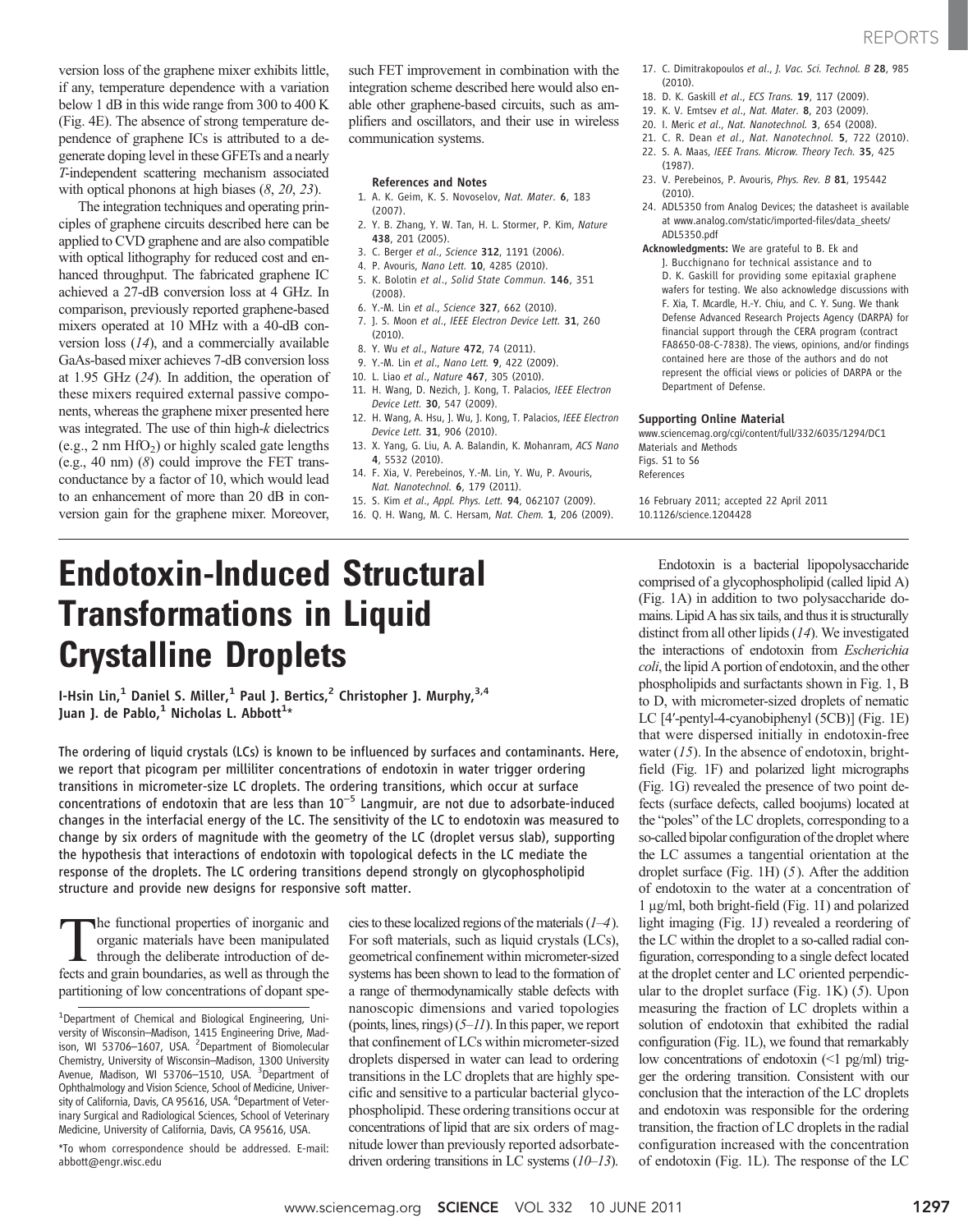version loss of the graphene mixer exhibits little, if any, temperature dependence with a variation below 1 dB in this wide range from 300 to 400 K (Fig. 4E). The absence of strong temperature dependence of graphene ICs is attributed to a degenerate doping level in these GFETs and a nearly T-independent scattering mechanism associated with optical phonons at high biases (8, 20, 23).

The integration techniques and operating principles of graphene circuits described here can be applied to CVD graphene and are also compatible with optical lithography for reduced cost and enhanced throughput. The fabricated graphene IC achieved a 27-dB conversion loss at 4 GHz. In comparison, previously reported graphene-based mixers operated at 10 MHz with a 40-dB conversion loss (14), and a commercially available GaAs-based mixer achieves 7-dB conversion loss at 1.95 GHz (24). In addition, the operation of these mixers required external passive components, whereas the graphene mixer presented here was integrated. The use of thin high-k dielectrics (e.g., 2 nm  $HfO<sub>2</sub>$ ) or highly scaled gate lengths (e.g., 40 nm) (8) could improve the FET transconductance by a factor of 10, which would lead to an enhancement of more than 20 dB in conversion gain for the graphene mixer. Moreover,

such FET improvement in combination with the integration scheme described here would also enable other graphene-based circuits, such as amplifiers and oscillators, and their use in wireless communication systems.

#### References and Notes

- 1. A. K. Geim, K. S. Novoselov, Nat. Mater. 6, 183 (2007).
- 2. Y. B. Zhang, Y. W. Tan, H. L. Stormer, P. Kim, Nature 438, 201 (2005).
- 3. C. Berger et al., Science 312, 1191 (2006).
- 4. P. Avouris, Nano Lett. **10**, 4285 (2010).
- 5. K. Bolotin et al., Solid State Commun. 146, 351 (2008).
- 6. Y.-M. Lin et al., Science 327, 662 (2010).
- 7. J. S. Moon et al., IEEE Electron Device Lett. 31, 260 (2010).
- 8. Y. Wu et al., Nature 472, 74 (2011).
- 9. Y.-M. Lin et al., Nano Lett. 9, 422 (2009).
- 10. L. Liao et al., Nature 467, 305 (2010).
- 11. H. Wang, D. Nezich, J. Kong, T. Palacios, IEEE Electron Device Lett. 30, 547 (2009).
- 12. H. Wang, A. Hsu, J. Wu, J. Kong, T. Palacios, IEEE Electron Device Lett. 31, 906 (2010).
- 13. X. Yang, G. Liu, A. A. Balandin, K. Mohanram, ACS Nano 4, 5532 (2010).
- 14. F. Xia, V. Perebeinos, Y.-M. Lin, Y. Wu, P. Avouris, Nat. Nanotechnol. 6, 179 (2011).
- 15. S. Kim et al., Appl. Phys. Lett. 94, 062107 (2009).
- 16. Q. H. Wang, M. C. Hersam, Nat. Chem. 1, 206 (2009).

17. C. Dimitrakopoulos et al., J. Vac. Sci. Technol. B 28, 985 (2010).

- 18. D. K. Gaskill et al., ECS Trans. 19, 117 (2009).
- 19. K. V. Emtsev et al., Nat. Mater. 8, 203 (2009).
- 20. I. Meric et al., Nat. Nanotechnol. 3, 654 (2008).
- 21. C. R. Dean et al., Nat. Nanotechnol. 5, 722 (2010). 22. S. A. Maas, IEEE Trans. Microw. Theory Tech. 35, 425
- (1987).
- 23. V. Perebeinos, P. Avouris, Phys. Rev. B 81, 195442 (2010).
- 24. ADL5350 from Analog Devices; the datasheet is available at www.analog.com/static/imported-files/data\_sheets/ ADL5350.pdf
- Acknowledgments: We are grateful to B. Ek and J. Bucchignano for technical assistance and to D. K. Gaskill for providing some epitaxial graphene wafers for testing. We also acknowledge discussions with F. Xia, T. Mcardle, H.-Y. Chiu, and C. Y. Sung. We thank Defense Advanced Research Projects Agency (DARPA) for financial support through the CERA program (contract FA8650-08-C-7838). The views, opinions, and/or findings contained here are those of the authors and do not represent the official views or policies of DARPA or the Department of Defense.

### Supporting Online Material

www.sciencemag.org/cgi/content/full/332/6035/1294/DC1 Materials and Methods Figs. S1 to S6 References

16 February 2011; accepted 22 April 2011 10.1126/science.1204428

# Endotoxin-Induced Structural Transformations in Liquid Crystalline Droplets

I-Hsin Lin,<sup>1</sup> Daniel S. Miller,<sup>1</sup> Paul J. Bertics,<sup>2</sup> Christopher J. Murphy,<sup>3,4</sup> Juan J. de Pablo, $^1$  Nicholas L. Abbott $^{1\star}$ 

The ordering of liquid crystals (LCs) is known to be influenced by surfaces and contaminants. Here, we report that picogram per milliliter concentrations of endotoxin in water trigger ordering transitions in micrometer-size LC droplets. The ordering transitions, which occur at surface concentrations of endotoxin that are less than 10−<sup>5</sup> Langmuir, are not due to adsorbate-induced changes in the interfacial energy of the LC. The sensitivity of the LC to endotoxin was measured to change by six orders of magnitude with the geometry of the LC (droplet versus slab), supporting the hypothesis that interactions of endotoxin with topological defects in the LC mediate the response of the droplets. The LC ordering transitions depend strongly on glycophospholipid structure and provide new designs for responsive soft matter.

The functional properties of inorganic and organic materials have been manipulated through the deliberate introduction of defects and grain boundaries, as well as through the partitioning of low concentrations of dopant spe-

\*To whom correspondence should be addressed. E-mail: abbott@engr.wisc.edu

cies to these localized regions of the materials  $(1-4)$ . For soft materials, such as liquid crystals (LCs), geometrical confinement within micrometer-sized systems has been shown to lead to the formation of a range of thermodynamically stable defects with nanoscopic dimensions and varied topologies (points, lines, rings)  $(5-11)$ . In this paper, we report that confinement of LCs within micrometer-sized droplets dispersed in water can lead to ordering transitions in the LC droplets that are highly specific and sensitive to a particular bacterial glycophospholipid. These ordering transitions occur at concentrations of lipid that are six orders of magnitude lower than previously reported adsorbatedriven ordering transitions in LC systems (10–13).

Endotoxin is a bacterial lipopolysaccharide comprised of a glycophospholipid (called lipid A) (Fig. 1A) in addition to two polysaccharide domains. Lipid A has six tails, and thus it is structurally distinct from all other lipids (14). We investigated the interactions of endotoxin from Escherichia coli, the lipid A portion of endotoxin, and the other phospholipids and surfactants shown in Fig. 1, B to D, with micrometer-sized droplets of nematic LC [4′-pentyl-4-cyanobiphenyl (5CB)] (Fig. 1E) that were dispersed initially in endotoxin-free water  $(15)$ . In the absence of endotoxin, brightfield (Fig. 1F) and polarized light micrographs (Fig. 1G) revealed the presence of two point defects (surface defects, called boojums) located at the "poles" of the LC droplets, corresponding to a so-called bipolar configuration of the droplet where the LC assumes a tangential orientation at the droplet surface (Fig. 1H) (5). After the addition of endotoxin to the water at a concentration of  $1 \mu$ g/ml, both bright-field (Fig. 1I) and polarized light imaging (Fig. 1J) revealed a reordering of the LC within the droplet to a so-called radial configuration, corresponding to a single defect located at the droplet center and LC oriented perpendicular to the droplet surface (Fig.  $1K$ ) (5). Upon measuring the fraction of LC droplets within a solution of endotoxin that exhibited the radial configuration (Fig. 1L), we found that remarkably low concentrations of endotoxin (<1 pg/ml) trigger the ordering transition. Consistent with our conclusion that the interaction of the LC droplets and endotoxin was responsible for the ordering transition, the fraction of LC droplets in the radial configuration increased with the concentration of endotoxin (Fig. 1L). The response of the LC

<sup>&</sup>lt;sup>1</sup>Department of Chemical and Biological Engineering, University of Wisconsin–Madison, 1415 Engineering Drive, Madison, WI 53706-1607, USA. <sup>2</sup>Department of Biomolecular Chemistry, University of Wisconsin–Madison, 1300 University Avenue, Madison, WI 53706-1510, USA. <sup>3</sup>Department of Ophthalmology and Vision Science, School of Medicine, University of California, Davis, CA 95616, USA. <sup>4</sup>Department of Veterinary Surgical and Radiological Sciences, School of Veterinary Medicine, University of California, Davis, CA 95616, USA.